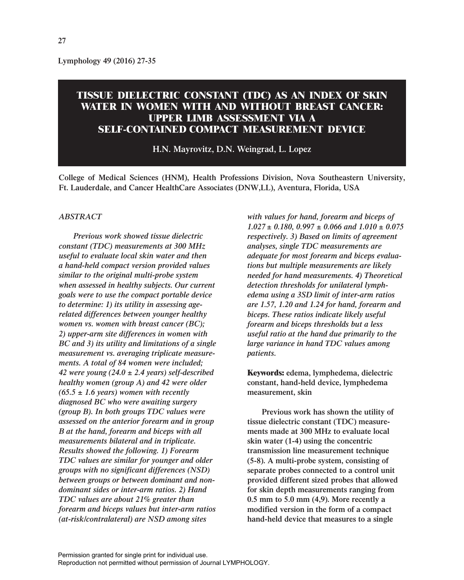**Lymphology 49 (2016) 27-35**

# **TISSUE DIELECTRIC CONSTANT (TDC) AS AN INDEX OF SKIN WATER IN WOMEN WITH AND WITHOUT BREAST CANCER: UPPER LIMB ASSESSMENT VIA A SELF-CONTAINED COMPACT MEASUREMENT DEVICE**

**H.N. Mayrovitz, D.N. Weingrad, L. Lopez**

**College of Medical Sciences (HNM), Health Professions Division, Nova Southeastern University, Ft. Lauderdale, and Cancer HealthCare Associates (DNW,LL), Aventura, Florida, USA**

# *ABSTRACT*

*Previous work showed tissue dielectric constant (TDC) measurements at 300 MHz useful to evaluate local skin water and then a hand-held compact version provided values similar to the original multi-probe system when assessed in healthy subjects. Our current goals were to use the compact portable device to determine: 1) its utility in assessing agerelated differences between younger healthy women vs. women with breast cancer (BC); 2) upper-arm site differences in women with BC and 3) its utility and limitations of a single measurement vs. averaging triplicate measurements. A total of 84 women were included; 42 were young (24.0 ± 2.4 years) self-described healthy women (group A) and 42 were older (65.5 ± 1.6 years) women with recently diagnosed BC who were awaiting surgery (group B). In both groups TDC values were assessed on the anterior forearm and in group B at the hand, forearm and biceps with all measurements bilateral and in triplicate. Results showed the following. 1) Forearm TDC values are similar for younger and older groups with no significant differences (NSD) between groups or between dominant and nondominant sides or inter-arm ratios. 2) Hand TDC values are about 21% greater than forearm and biceps values but inter-arm ratios (at-risk/contralateral) are NSD among sites*

*with values for hand, forearm and biceps of 1.027 ± 0.180, 0.997 ± 0.066 and 1.010 ± 0.075 respectively. 3) Based on limits of agreement analyses, single TDC measurements are adequate for most forearm and biceps evaluations but multiple measurements are likely needed for hand measurements. 4) Theoretical detection thresholds for unilateral lymphedema using a 3SD limit of inter-arm ratios are 1.57, 1.20 and 1.24 for hand, forearm and biceps. These ratios indicate likely useful forearm and biceps thresholds but a less useful ratio at the hand due primarily to the large variance in hand TDC values among patients.*

**Keywords: edema, lymphedema, dielectric constant, hand-held device, lymphedema measurement, skin**

**Previous work has shown the utility of tissue dielectric constant (TDC) measurements made at 300 MHz to evaluate local skin water (1-4) using the concentric transmission line measurement technique (5-8). A multi-probe system, consisting of separate probes connected to a control unit provided different sized probes that allowed for skin depth measurements ranging from 0.5 mm to 5.0 mm (4,9). More recently a modified version in the form of a compact hand-held device that measures to a single**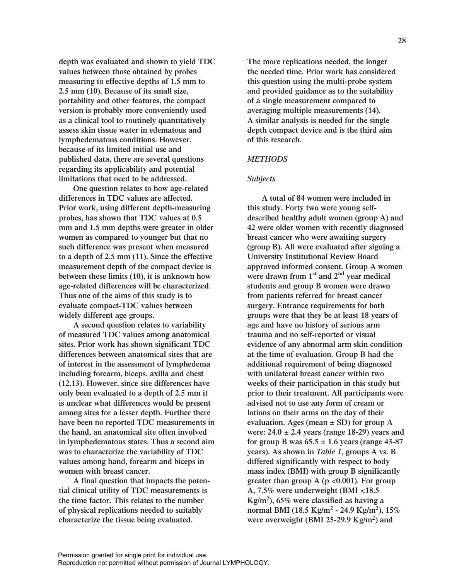**depth was evaluated and shown to yield TDC values between those obtained by probes measuring to effective depths of 1.5 mm to 2.5 mm (10). Because of its small size, portability and other features, the compact version is probably more conveniently used as a clinical tool to routinely quantitatively assess skin tissue water in edematous and lymphedematous conditions. However, because of its limited initial use and published data, there are several questions regarding its applicability and potential limitations that need to be addressed.** 

**One question relates to how age-related differences in TDC values are affected. Prior work, using different depth-measuring probes, has shown that TDC values at 0.5 mm and 1.5 mm depths were greater in older women as compared to younger but that no such difference was present when measured to a depth of 2.5 mm (11). Since the effective measurement depth of the compact device is between these limits (10), it is unknown how age-related differences will be characterized. Thus one of the aims of this study is to evaluate compact-TDC values between widely different age groups.**

**A second question relates to variability of measured TDC values among anatomical sites. Prior work has shown significant TDC differences between anatomical sites that are of interest in the assessment of lymphedema including forearm, biceps, axilla and chest (12,13). However, since site differences have only been evaluated to a depth of 2.5 mm it is unclear what differences would be present among sites for a lesser depth. Further there have been no reported TDC measurements in the hand, an anatomical site often involved in lymphedematous states. Thus a second aim was to characterize the variability of TDC values among hand, forearm and biceps in women with breast cancer.** 

**A final question that impacts the potential clinical utility of TDC measurements is the time factor. This relates to the number of physical replications needed to suitably characterize the tissue being evaluated.** 

**The more replications needed, the longer the needed time. Prior work has considered this question using the multi-probe system and provided guidance as to the suitability of a single measurement compared to averaging multiple measurements (14). A similar analysis is needed for the single depth compact device and is the third aim of this research.** 

# *METHODS*

### *Subjects*

**A total of 84 women were included in this study. Forty two were young selfdescribed healthy adult women (group A) and 42 were older women with recently diagnosed breast cancer who were awaiting surgery (group B). All were evaluated after signing a University Institutional Review Board approved informed consent. Group A women were drawn from 1st and 2nd year medical students and group B women were drawn from patients referred for breast cancer surgery. Entrance requirements for both groups were that they be at least 18 years of age and have no history of serious arm trauma and no self-reported or visual evidence of any abnormal arm skin condition at the time of evaluation. Group B had the additional requirement of being diagnosed with unilateral breast cancer within two weeks of their participation in this study but prior to their treatment. All participants were advised not to use any form of cream or lotions on their arms on the day of their evaluation. Ages (mean ± SD) for group A were: 24.0 ± 2.4 years (range 18-29) years and** for group B was  $65.5 \pm 1.6$  years (range  $43-87$ **years). As shown in** *Table 1***, groups A vs. B differed significantly with respect to body mass index (BMI) with group B significantly greater than group A (p <0.001). For group A, 7.5% were underweight (BMI <18.5 Kg/m2), 65% were classified as having a normal BMI (18.5 Kg/m<sup>2</sup> - 24.9 Kg/m2), 15% were overweight (BMI 25-29.9 Kg/m2) and**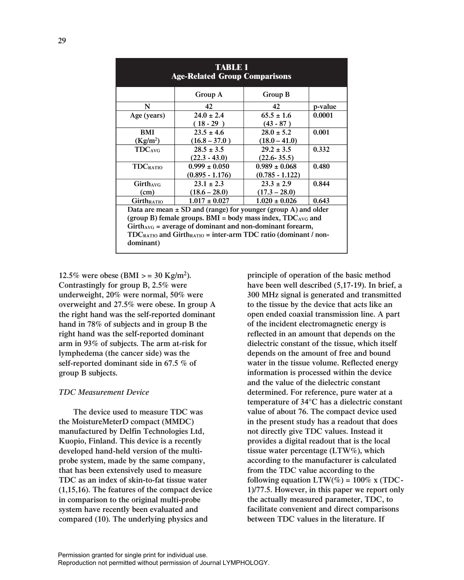| <b>TABLE 1</b><br><b>Age-Related Group Comparisons</b>                          |                                                                 |                   |         |  |  |  |  |
|---------------------------------------------------------------------------------|-----------------------------------------------------------------|-------------------|---------|--|--|--|--|
|                                                                                 | Group A                                                         | Group B           |         |  |  |  |  |
| N                                                                               | 42                                                              | 42                | p-value |  |  |  |  |
| Age (years)                                                                     | $24.0 \pm 2.4$                                                  | $65.5 \pm 1.6$    | 0.0001  |  |  |  |  |
|                                                                                 | $(18-29)$                                                       | $(43 - 87)$       |         |  |  |  |  |
| BMI                                                                             | $23.5 \pm 4.6$                                                  | $28.0 \pm 5.2$    | 0.001   |  |  |  |  |
| (Kg/m <sup>2</sup> )                                                            | $(16.8 - 37.0)$                                                 | $(18.0 - 41.0)$   |         |  |  |  |  |
| <b>TDC</b> <sub>AVG</sub>                                                       | $28.5 \pm 3.5$                                                  | $29.2 \pm 3.5$    | 0.332   |  |  |  |  |
|                                                                                 | $(22.3 - 43.0)$                                                 | $(22.6 - 35.5)$   |         |  |  |  |  |
| <b>TDCRATIO</b>                                                                 | $0.999 \pm 0.050$                                               | $0.989 \pm 0.068$ | 0.480   |  |  |  |  |
|                                                                                 | $(0.895 - 1.176)$                                               | $(0.785 - 1.122)$ |         |  |  |  |  |
| Girthavg                                                                        | $23.1 \pm 2.3$                                                  | $23.3 \pm 2.9$    | 0.844   |  |  |  |  |
| (cm)                                                                            | $(18.6 - 28.0)$                                                 | $(17.3 - 28.0)$   |         |  |  |  |  |
| <b>GirthRATIO</b>                                                               | $1.017 \pm 0.027$                                               | $1.020 \pm 0.026$ | 0.643   |  |  |  |  |
| Data are mean $\pm$ SD and (range) for younger (group A) and older              |                                                                 |                   |         |  |  |  |  |
|                                                                                 | (group B) female groups. BMI = body mass index, $TDC_{AVG}$ and |                   |         |  |  |  |  |
| $Girth_{AVG}$ = average of dominant and non-dominant forearm,                   |                                                                 |                   |         |  |  |  |  |
| $TDC_{RATIO}$ and Girth <sub>RATIO</sub> = inter-arm TDC ratio (dominant / non- |                                                                 |                   |         |  |  |  |  |
| dominant)                                                                       |                                                                 |                   |         |  |  |  |  |

12.5% were obese (BMI  $> = 30$  Kg/m<sup>2</sup>). **Contrastingly for group B, 2.5% were underweight, 20% were normal, 50% were overweight and 27.5% were obese. In group A the right hand was the self-reported dominant hand in 78% of subjects and in group B the right hand was the self-reported dominant arm in 93% of subjects. The arm at-risk for lymphedema (the cancer side) was the self-reported dominant side in 67.5 % of group B subjects.** 

#### *TDC Measurement Device*

**The device used to measure TDC was the MoistureMeterD compact (MMDC) manufactured by Delfin Technologies Ltd, Kuopio, Finland. This device is a recently developed hand-held version of the multiprobe system, made by the same company, that has been extensively used to measure TDC as an index of skin-to-fat tissue water (1,15,16). The features of the compact device in comparison to the original multi-probe system have recently been evaluated and compared (10). The underlying physics and**

**principle of operation of the basic method have been well described (5,17-19). In brief, a 300 MHz signal is generated and transmitted to the tissue by the device that acts like an open ended coaxial transmission line. A part of the incident electromagnetic energy is reflected in an amount that depends on the dielectric constant of the tissue, which itself depends on the amount of free and bound water in the tissue volume. Reflected energy information is processed within the device and the value of the dielectric constant determined. For reference, pure water at a temperature of 34°C has a dielectric constant value of about 76. The compact device used in the present study has a readout that does not directly give TDC values. Instead it provides a digital readout that is the local tissue water percentage (LTW%), which according to the manufacturer is calculated from the TDC value according to the** following equation  $LTW(\%) = 100\%$  x (TDC-**1)/77.5. However, in this paper we report only the actually measured parameter, TDC, to facilitate convenient and direct comparisons between TDC values in the literature. If**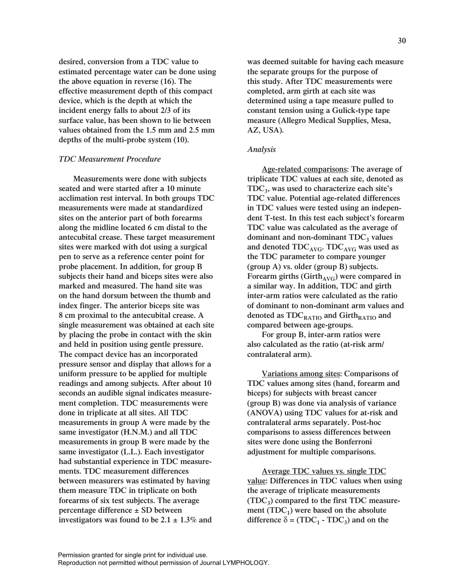**desired, conversion from a TDC value to estimated percentage water can be done using the above equation in reverse (16). The effective measurement depth of this compact device, which is the depth at which the incident energy falls to about 2/3 of its surface value, has been shown to lie between values obtained from the 1.5 mm and 2.5 mm depths of the multi-probe system (10).** 

#### *TDC Measurement Procedure*

**Measurements were done with subjects seated and were started after a 10 minute acclimation rest interval. In both groups TDC measurements were made at standardized sites on the anterior part of both forearms along the midline located 6 cm distal to the antecubital crease. These target measurement sites were marked with dot using a surgical pen to serve as a reference center point for probe placement. In addition, for group B subjects their hand and biceps sites were also marked and measured. The hand site was on the hand dorsum between the thumb and index finger. The anterior biceps site was 8 cm proximal to the antecubital crease. A single measurement was obtained at each site by placing the probe in contact with the skin and held in position using gentle pressure. The compact device has an incorporated pressure sensor and display that allows for a uniform pressure to be applied for multiple readings and among subjects. After about 10 seconds an audible signal indicates measurement completion. TDC measurements were done in triplicate at all sites. All TDC measurements in group A were made by the same investigator (H.N.M.) and all TDC measurements in group B were made by the same investigator (L.L.). Each investigator had substantial experience in TDC measurements. TDC measurement differences between measurers was estimated by having them measure TDC in triplicate on both forearms of six test subjects. The average percentage difference ± SD between investigators was found to be 2.1 ± 1.3% and**

**was deemed suitable for having each measure the separate groups for the purpose of this study. After TDC measurements were completed, arm girth at each site was determined using a tape measure pulled to constant tension using a Gulick-type tape measure (Allegro Medical Supplies, Mesa, AZ, USA).** 

#### *Analysis*

**Age-related comparisons: The average of triplicate TDC values at each site, denoted as TDC3, was used to characterize each site's TDC value. Potential age-related differences in TDC values were tested using an independent T-test. In this test each subject's forearm TDC value was calculated as the average of** dominant and non-dominant TDC<sub>3</sub> values and denoted TDC<sub>AVG</sub>. TDC<sub>AVG</sub> was used as **the TDC parameter to compare younger (group A) vs. older (group B) subjects.** Forearm girths (Girth<sub>AVG</sub>) were compared in **a similar way. In addition, TDC and girth inter-arm ratios were calculated as the ratio of dominant to non-dominant arm values and** denoted as  $TDC_{RATIO}$  and  $Girth_{RATIO}$  and **compared between age-groups.**

**For group B, inter-arm ratios were also calculated as the ratio (at-risk arm/ contralateral arm).** 

**Variations among sites: Comparisons of TDC values among sites (hand, forearm and biceps) for subjects with breast cancer (group B) was done via analysis of variance (ANOVA) using TDC values for at-risk and contralateral arms separately. Post-hoc comparisons to assess differences between sites were done using the Bonferroni adjustment for multiple comparisons.**

**Average TDC values vs. single TDC value: Differences in TDC values when using the average of triplicate measurements (TDC3) compared to the first TDC measure**ment  $(TDC_1)$  were based on the absolute difference  $\delta$  = (TDC<sub>1</sub> **- TDC<sub>3</sub>)** and on the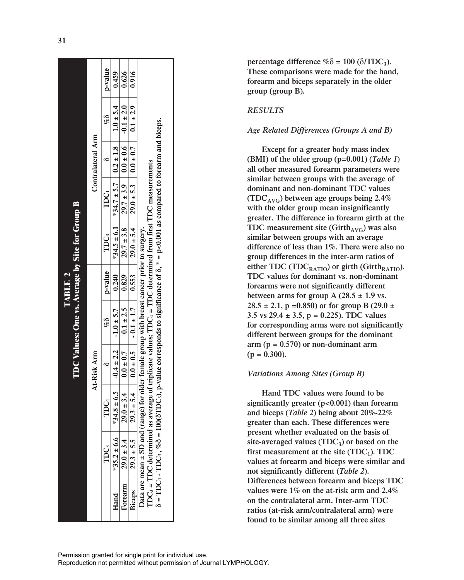|                                                            | Contralateral Arm | p-value          | 0.459                                                             | 0.626                                                                                                             | 0.916                                                                                                                       |                                                                                                                                                                                                                                                                                                                                                                                                                     |
|------------------------------------------------------------|-------------------|------------------|-------------------------------------------------------------------|-------------------------------------------------------------------------------------------------------------------|-----------------------------------------------------------------------------------------------------------------------------|---------------------------------------------------------------------------------------------------------------------------------------------------------------------------------------------------------------------------------------------------------------------------------------------------------------------------------------------------------------------------------------------------------------------|
|                                                            |                   | E<br>S           |                                                                   |                                                                                                                   |                                                                                                                             |                                                                                                                                                                                                                                                                                                                                                                                                                     |
|                                                            |                   |                  |                                                                   |                                                                                                                   |                                                                                                                             |                                                                                                                                                                                                                                                                                                                                                                                                                     |
|                                                            |                   | TDC1             | $*34.5 \pm 6.1$   $*34.7 \pm 5.7$   $0.2 \pm 1.8$   $1.0 \pm 5.4$ |                                                                                                                   |                                                                                                                             |                                                                                                                                                                                                                                                                                                                                                                                                                     |
|                                                            |                   | TDC;             |                                                                   |                                                                                                                   |                                                                                                                             |                                                                                                                                                                                                                                                                                                                                                                                                                     |
| TDC Values: One vs. Average by Site for Group B<br>TABLE 2 | At-Risk Arm       | p-value          | 0.240                                                             |                                                                                                                   |                                                                                                                             |                                                                                                                                                                                                                                                                                                                                                                                                                     |
|                                                            |                   | %8               | $-1.0 \pm 5.7$                                                    | $29.0 \pm 3.4$   $0.0 \pm 0.7$   $0.1 \pm 2.5$   $29.7 \pm 3.8$   $29.7 \pm 3.9$   $0.0 \pm 0.6$   $-0.1 \pm 2.0$ | $29.3 \pm 5.4$   $0.0 \pm 0.5$   $-0.1 \pm 1.7$   $0.553$   $29.0 \pm 5.4$   $29.0 \pm 5.3$   $0.0 \pm 0.7$   $0.1 \pm 2.9$ |                                                                                                                                                                                                                                                                                                                                                                                                                     |
|                                                            |                   |                  | $4.8 \pm 6.5$   $-0.4 \pm 2.2$                                    |                                                                                                                   |                                                                                                                             |                                                                                                                                                                                                                                                                                                                                                                                                                     |
|                                                            |                   | TDC <sub>1</sub> | $\tilde{\ddot{\cdot}}$                                            |                                                                                                                   |                                                                                                                             |                                                                                                                                                                                                                                                                                                                                                                                                                     |
|                                                            |                   | TDC3             | $*35.2 \pm 6.6$                                                   | $29.0 \pm 3.4$                                                                                                    | $29.3 \pm 5.5$                                                                                                              | $\delta$ = TDC <sub>1</sub> - TDC <sub>3</sub> , % $\delta$ = 100( $\delta$ TDC <sub>3</sub> ), p-value corresponds to significance of $\delta$ , * = p<0.001 as compared to forearm and biceps.<br>$\text{IDC}_3$ = TDC determined as average of triplicate values; TDC = TDC determined from first TDC measurements<br>Data are mean ± SD and (range) for older female group with breast cancer prior to surgery. |
|                                                            |                   |                  | Hand                                                              | Forearm                                                                                                           | Biceps                                                                                                                      |                                                                                                                                                                                                                                                                                                                                                                                                                     |

**percentage difference**  $\%$   $\delta$  = 100 ( $\delta$ /TDC<sub>3</sub>). **These comparisons were made for the hand, forearm and biceps separately in the older group (group B).**

# *RESULTS*

#### *Age Related Differences (Groups A and B)*

**Except for a greater body mass index (BMI) of the older group (p=0.001) (***Table 1* **) all other measured forearm parameters were similar between groups with the average of dominant and non-dominant TDC values (TDCAVG) between age groups being 2.4% with the older group mean insignificantly greater. The difference in forearm girth at the TDC** measurement site (Girth<sub>AVG</sub>) was also **similar between groups with an average difference of less than 1%. There were also no group differences in the inter-arm ratios of** either TDC (TDC<sub>RATIO</sub>) or girth (Girth<sub>RATIO</sub>). **TDC values for dominant vs. non-dominant forearms were not significantly different** between arms for group A  $(28.5 \pm 1.9 \text{ vs.})$ **28.5 ± 2.1, p =0.850) or for group B (29.0 ± 3.5 vs 29.4 ± 3.5, p = 0.225). TDC values for corresponding arms were not significantly different between groups for the dominant arm (p = 0.570) or non-dominant arm (p = 0.300).** 

# *Variations Among Sites (Group B)*

**Hand TDC values were found to be significantly greater (p<0.001) than forearm and biceps (***Table 2***) being about 20%-22% greater than each. These differences were present whether evaluated on the basis of site-averaged values (TDC 3) or based on the first measurement at the site (TDC 1). TDC values at forearm and biceps were similar and not significantly different (***Table 2***). Differences between forearm and biceps TDC values were 1% on the at-risk arm and 2.4% on the contralateral arm. Inter-arm TDC ratios (at-risk arm/contralateral arm) were found to be similar among all three sites**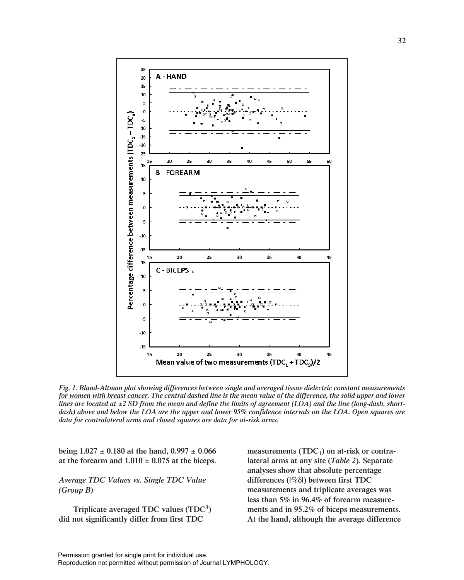

*Fig. 1. Bland-Altman plot showing differences between single and averaged tissue dielectric constant measurements for women with breast cancer. The central dashed line is the mean value of the difference, the solid upper and lower lines are located at ±2 SD from the mean and define the limits of agreement (LOA) and the line (long-dash, shortdash) above and below the LOA are the upper and lower 95% confidence intervals on the LOA. Open squares are data for contralateral arms and closed squares are data for at-risk arms.*

**being 1.027 ± 0.180 at the hand, 0.997 ± 0.066** at the forearm and  $1.010 \pm 0.075$  at the biceps.

*Average TDC Values vs. Single TDC Value (Group B)*

**Triplicate averaged TDC values (TDC3) did not significantly differ from first TDC**

measurements (TDC<sub>1</sub>) on at-risk or contra**lateral arms at any site (***Table 2***). Separate analyses show that absolute percentage differences (|%**δ**|) between first TDC measurements and triplicate averages was less than 5% in 96.4% of forearm measurements and in 95.2% of biceps measurements. At the hand, although the average difference**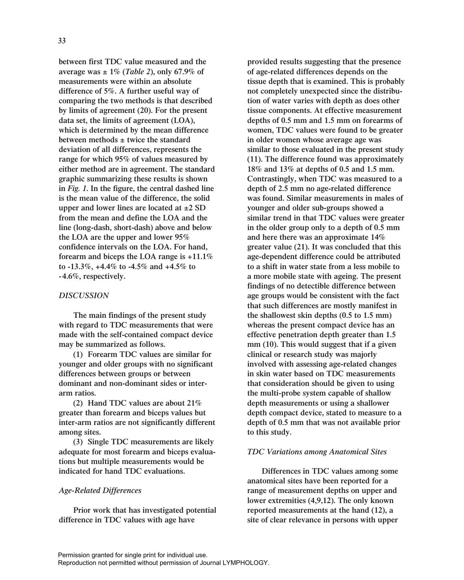**between first TDC value measured and the average was ± 1% (***Table 2***), only 67.9% of measurements were within an absolute difference of 5%. A further useful way of comparing the two methods is that described by limits of agreement (20). For the present data set, the limits of agreement (LOA), which is determined by the mean difference between methods ± twice the standard deviation of all differences, represents the range for which 95% of values measured by either method are in agreement. The standard graphic summarizing these results is shown in** *Fig. 1***. In the figure, the central dashed line is the mean value of the difference, the solid upper and lower lines are located at ±2 SD from the mean and define the LOA and the line (long-dash, short-dash) above and below the LOA are the upper and lower 95% confidence intervals on the LOA. For hand, forearm and biceps the LOA range is +11.1% to -13.3%, +4.4% to -4.5% and +4.5% to -4.6%, respectively.**

# *DISCUSSION*

**The main findings of the present study with regard to TDC measurements that were made with the self-contained compact device may be summarized as follows.**

**(1) Forearm TDC values are similar for younger and older groups with no significant differences between groups or between dominant and non-dominant sides or interarm ratios.** 

**(2) Hand TDC values are about 21% greater than forearm and biceps values but inter-arm ratios are not significantly different among sites.** 

**(3) Single TDC measurements are likely adequate for most forearm and biceps evaluations but multiple measurements would be indicated for hand TDC evaluations.**

# *Age-Related Differences*

**Prior work that has investigated potential difference in TDC values with age have**

**provided results suggesting that the presence of age-related differences depends on the tissue depth that is examined. This is probably not completely unexpected since the distribution of water varies with depth as does other tissue components. At effective measurement depths of 0.5 mm and 1.5 mm on forearms of women, TDC values were found to be greater in older women whose average age was similar to those evaluated in the present study (11). The difference found was approximately 18% and 13% at depths of 0.5 and 1.5 mm. Contrastingly, when TDC was measured to a depth of 2.5 mm no age-related difference was found. Similar measurements in males of younger and older sub-groups showed a similar trend in that TDC values were greater in the older group only to a depth of 0.5 mm and here there was an approximate 14% greater value (21). It was concluded that this age-dependent difference could be attributed to a shift in water state from a less mobile to a more mobile state with ageing. The present findings of no detectible difference between age groups would be consistent with the fact that such differences are mostly manifest in the shallowest skin depths (0.5 to 1.5 mm) whereas the present compact device has an effective penetration depth greater than 1.5 mm (10). This would suggest that if a given clinical or research study was majorly involved with assessing age-related changes in skin water based on TDC measurements that consideration should be given to using the multi-probe system capable of shallow depth measurements or using a shallower depth compact device, stated to measure to a depth of 0.5 mm that was not available prior to this study.**

# *TDC Variations among Anatomical Sites*

**Differences in TDC values among some anatomical sites have been reported for a range of measurement depths on upper and lower extremities (4,9,12). The only known reported measurements at the hand (12), a site of clear relevance in persons with upper**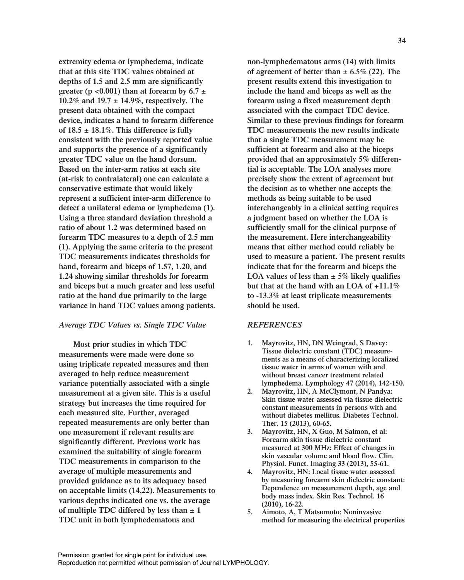**extremity edema or lymphedema, indicate that at this site TDC values obtained at depths of 1.5 and 2.5 mm are significantly** greater ( $p < 0.001$ ) than at forearm by  $6.7 \pm 1$ **10.2% and 19.7 ± 14.9%, respectively. The present data obtained with the compact device, indicates a hand to forearm difference of 18.5 ± 18.1%. This difference is fully consistent with the previously reported value and supports the presence of a significantly greater TDC value on the hand dorsum. Based on the inter-arm ratios at each site (at-risk to contralateral) one can calculate a conservative estimate that would likely represent a sufficient inter-arm difference to detect a unilateral edema or lymphedema (1). Using a three standard deviation threshold a ratio of about 1.2 was determined based on forearm TDC measures to a depth of 2.5 mm (1). Applying the same criteria to the present TDC measurements indicates thresholds for hand, forearm and biceps of 1.57, 1.20, and 1.24 showing similar thresholds for forearm and biceps but a much greater and less useful ratio at the hand due primarily to the large variance in hand TDC values among patients.**

# *Average TDC Values vs. Single TDC Value*

**Most prior studies in which TDC measurements were made were done so using triplicate repeated measures and then averaged to help reduce measurement variance potentially associated with a single measurement at a given site. This is a useful strategy but increases the time required for each measured site. Further, averaged repeated measurements are only better than one measurement if relevant results are significantly different. Previous work has examined the suitability of single forearm TDC measurements in comparison to the average of multiple measurements and provided guidance as to its adequacy based on acceptable limits (14,22). Measurements to various depths indicated one vs. the average of multiple TDC differed by less than ± 1 TDC unit in both lymphedematous and** 

**non-lymphedematous arms (14) with limits of agreement of better than ± 6.5% (22). The present results extend this investigation to include the hand and biceps as well as the forearm using a fixed measurement depth associated with the compact TDC device. Similar to these previous findings for forearm TDC measurements the new results indicate that a single TDC measurement may be sufficient at forearm and also at the biceps provided that an approximately 5% differential is acceptable. The LOA analyses more precisely show the extent of agreement but the decision as to whether one accepts the methods as being suitable to be used interchangeably in a clinical setting requires a judgment based on whether the LOA is sufficiently small for the clinical purpose of the measurement. Here interchangeability means that either method could reliably be used to measure a patient. The present results indicate that for the forearm and biceps the LOA values of less than ± 5% likely qualifies but that at the hand with an LOA of +11.1% to -13.3% at least triplicate measurements should be used.**

# *REFERENCES*

- **1. Mayrovitz, HN, DN Weingrad, S Davey: Tissue dielectric constant (TDC) measurements as a means of characterizing localized tissue water in arms of women with and without breast cancer treatment related lymphedema. Lymphology 47 (2014), 142-150.**
- **2. Mayrovitz, HN, A McClymont, N Pandya: Skin tissue water assessed via tissue dielectric constant measurements in persons with and without diabetes mellitus. Diabetes Technol. Ther. 15 (2013), 60-65.**
- **3. Mayrovitz, HN, X Guo, M Salmon, et al: Forearm skin tissue dielectric constant measured at 300 MHz: Effect of changes in skin vascular volume and blood flow. Clin. Physiol. Funct. Imaging 33 (2013), 55-61.**
- **4. Mayrovitz, HN: Local tissue water assessed by measuring forearm skin dielectric constant: Dependence on measurement depth, age and body mass index. Skin Res. Technol. 16 (2010), 16-22.**
- **5. Aimoto, A, T Matsumoto: Noninvasive method for measuring the electrical properties**